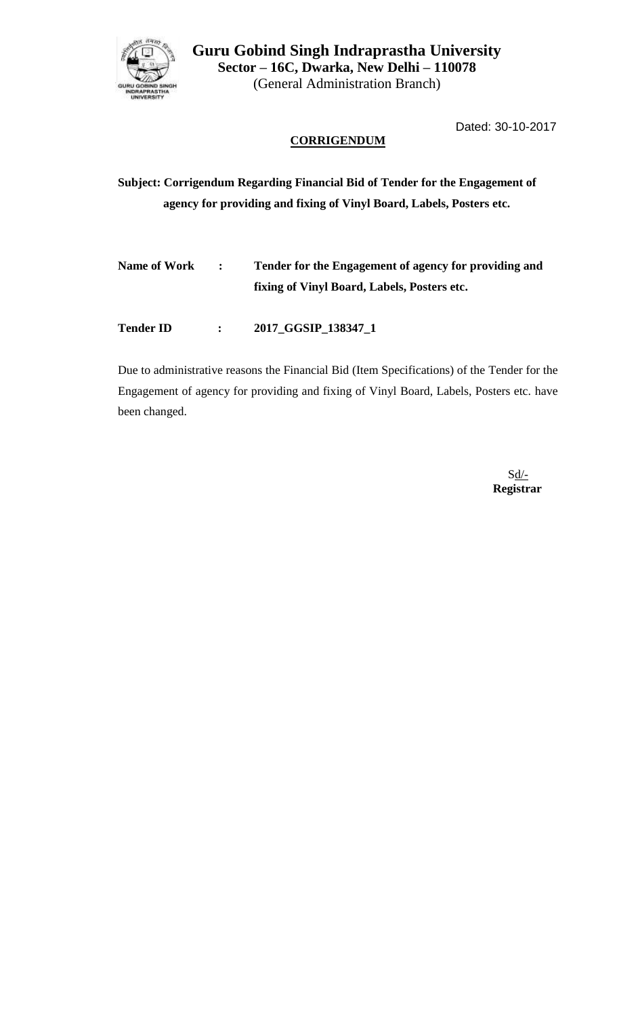

**Guru Gobind Singh Indraprastha University Sector – 16C, Dwarka, New Delhi – 110078** (General Administration Branch)

Dated: 30-10-2017

## **CORRIGENDUM**

## **Subject: Corrigendum Regarding Financial Bid of Tender for the Engagement of agency for providing and fixing of Vinyl Board, Labels, Posters etc.**

| Name of Work | $\mathbb{R}$ | Tender for the Engagement of agency for providing and |
|--------------|--------------|-------------------------------------------------------|
|              |              | fixing of Vinyl Board, Labels, Posters etc.           |
|              |              |                                                       |

**Tender ID : 2017\_GGSIP\_138347\_1**

Due to administrative reasons the Financial Bid (Item Specifications) of the Tender for the Engagement of agency for providing and fixing of Vinyl Board, Labels, Posters etc. have been changed.

 $Sd$  **Registrar**